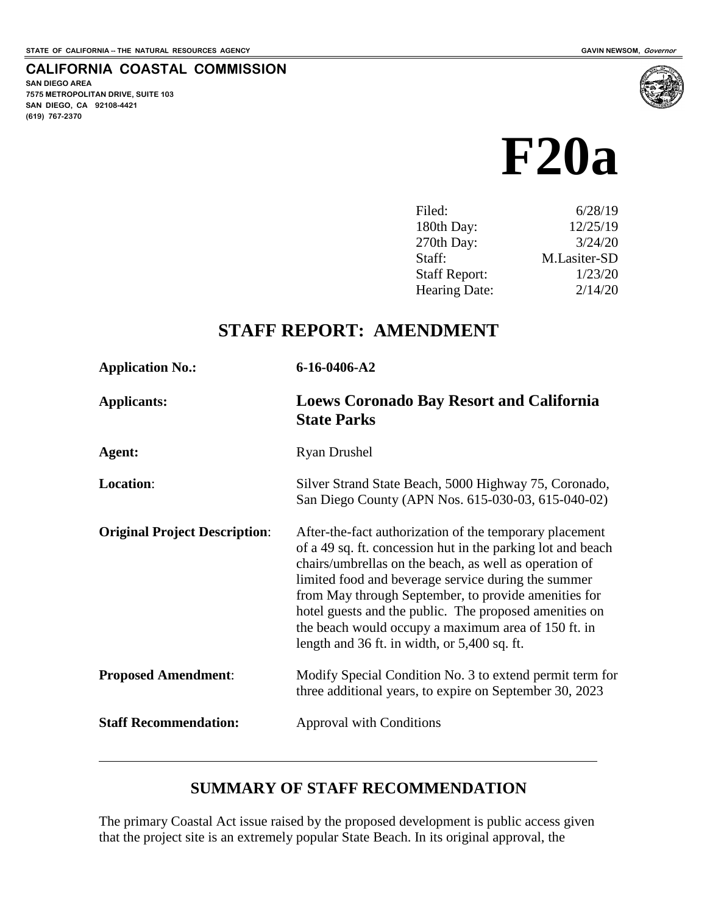**SAN DIEGO AREA**

**(619) 767-2370**

**7575 METROPOLITAN DRIVE, SUITE 103 SAN DIEGO, CA 92108-4421**

**CALIFORNIA COASTAL COMMISSION**

# **F20a**

| Filed:               | 6/28/19      |
|----------------------|--------------|
| 180th Day:           | 12/25/19     |
| 270th Day:           | 3/24/20      |
| Staff:               | M.Lasiter-SD |
| <b>Staff Report:</b> | 1/23/20      |
| <b>Hearing Date:</b> | 2/14/20      |

# **STAFF REPORT: AMENDMENT**

| <b>Application No.:</b>              | 6-16-0406-A2                                                                                                                                                                                                                                                                                                                                                                                                                                                     |  |
|--------------------------------------|------------------------------------------------------------------------------------------------------------------------------------------------------------------------------------------------------------------------------------------------------------------------------------------------------------------------------------------------------------------------------------------------------------------------------------------------------------------|--|
| <b>Applicants:</b>                   | <b>Loews Coronado Bay Resort and California</b><br><b>State Parks</b>                                                                                                                                                                                                                                                                                                                                                                                            |  |
| Agent:                               | <b>Ryan Drushel</b>                                                                                                                                                                                                                                                                                                                                                                                                                                              |  |
| Location:                            | Silver Strand State Beach, 5000 Highway 75, Coronado,<br>San Diego County (APN Nos. 615-030-03, 615-040-02)                                                                                                                                                                                                                                                                                                                                                      |  |
| <b>Original Project Description:</b> | After-the-fact authorization of the temporary placement<br>of a 49 sq. ft. concession hut in the parking lot and beach<br>chairs/umbrellas on the beach, as well as operation of<br>limited food and beverage service during the summer<br>from May through September, to provide amenities for<br>hotel guests and the public. The proposed amenities on<br>the beach would occupy a maximum area of 150 ft. in<br>length and 36 ft. in width, or 5,400 sq. ft. |  |
| <b>Proposed Amendment:</b>           | Modify Special Condition No. 3 to extend permit term for<br>three additional years, to expire on September 30, 2023                                                                                                                                                                                                                                                                                                                                              |  |
| <b>Staff Recommendation:</b>         | <b>Approval with Conditions</b>                                                                                                                                                                                                                                                                                                                                                                                                                                  |  |
|                                      |                                                                                                                                                                                                                                                                                                                                                                                                                                                                  |  |

# **SUMMARY OF STAFF RECOMMENDATION**

The primary Coastal Act issue raised by the proposed development is public access given that the project site is an extremely popular State Beach. In its original approval, the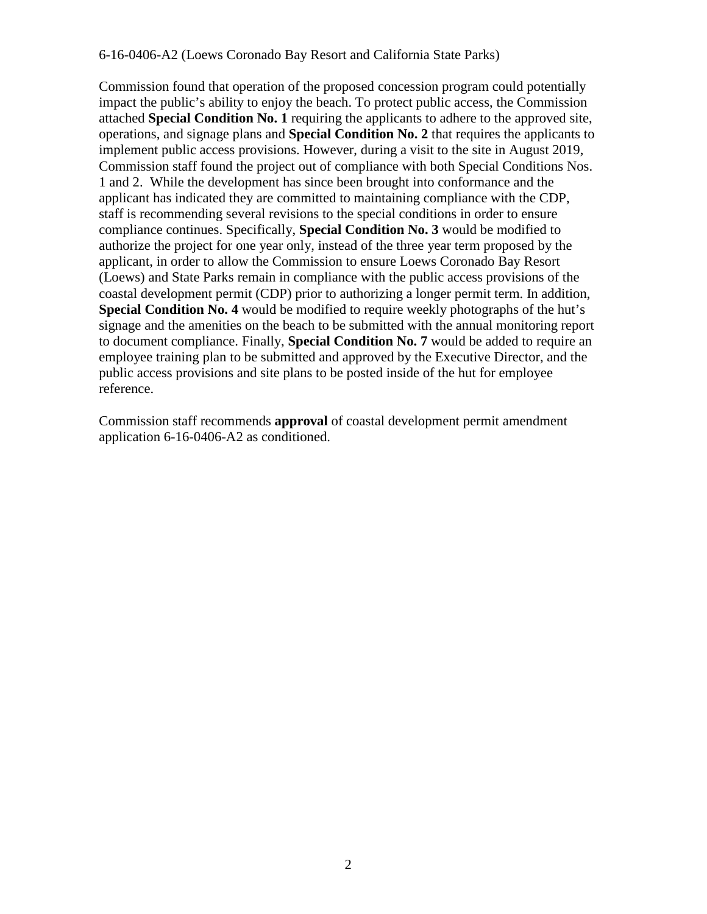Commission found that operation of the proposed concession program could potentially impact the public's ability to enjoy the beach. To protect public access, the Commission attached **Special Condition No. 1** requiring the applicants to adhere to the approved site, operations, and signage plans and **Special Condition No. 2** that requires the applicants to implement public access provisions. However, during a visit to the site in August 2019, Commission staff found the project out of compliance with both Special Conditions Nos. 1 and 2. While the development has since been brought into conformance and the applicant has indicated they are committed to maintaining compliance with the CDP, staff is recommending several revisions to the special conditions in order to ensure compliance continues. Specifically, **Special Condition No. 3** would be modified to authorize the project for one year only, instead of the three year term proposed by the applicant, in order to allow the Commission to ensure Loews Coronado Bay Resort (Loews) and State Parks remain in compliance with the public access provisions of the coastal development permit (CDP) prior to authorizing a longer permit term. In addition, **Special Condition No. 4** would be modified to require weekly photographs of the hut's signage and the amenities on the beach to be submitted with the annual monitoring report to document compliance. Finally, **Special Condition No. 7** would be added to require an employee training plan to be submitted and approved by the Executive Director, and the public access provisions and site plans to be posted inside of the hut for employee reference.

Commission staff recommends **approval** of coastal development permit amendment application 6-16-0406-A2 as conditioned.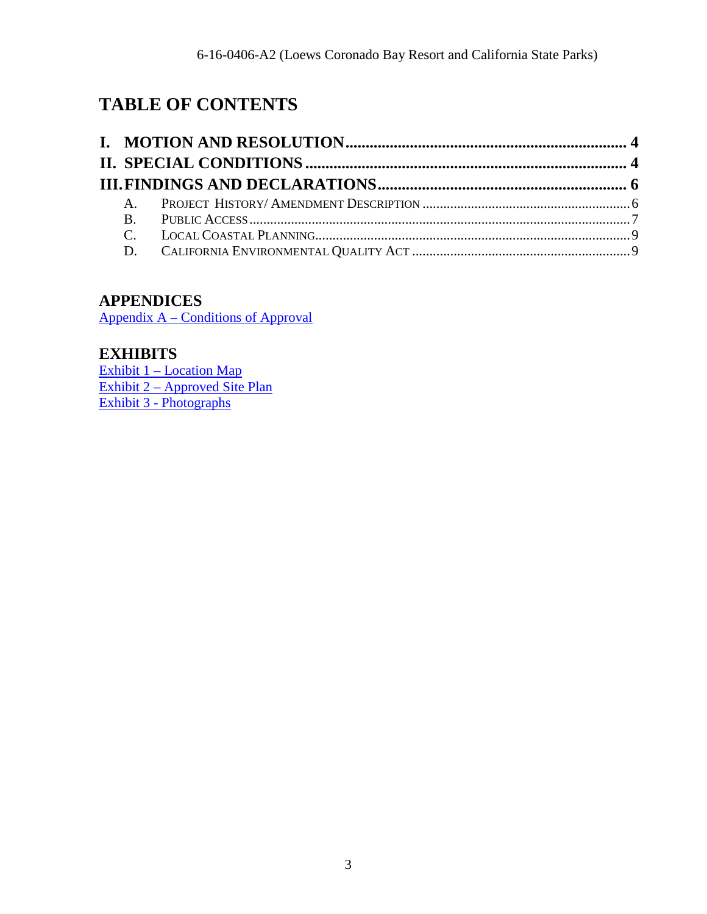# **TABLE OF CONTENTS**

# **APPENDICES**

[Appendix A – Conditions of Approval](#page-9-0)

# **EXHIBITS**

Exhibit 1 – Location Map Exhibit 2 – Approved Site Plan [Exhibit 3 - Photographs](https://documents.coastal.ca.gov/reports/2020/2/f20a/f20a-2-2020-exhibits.pdf)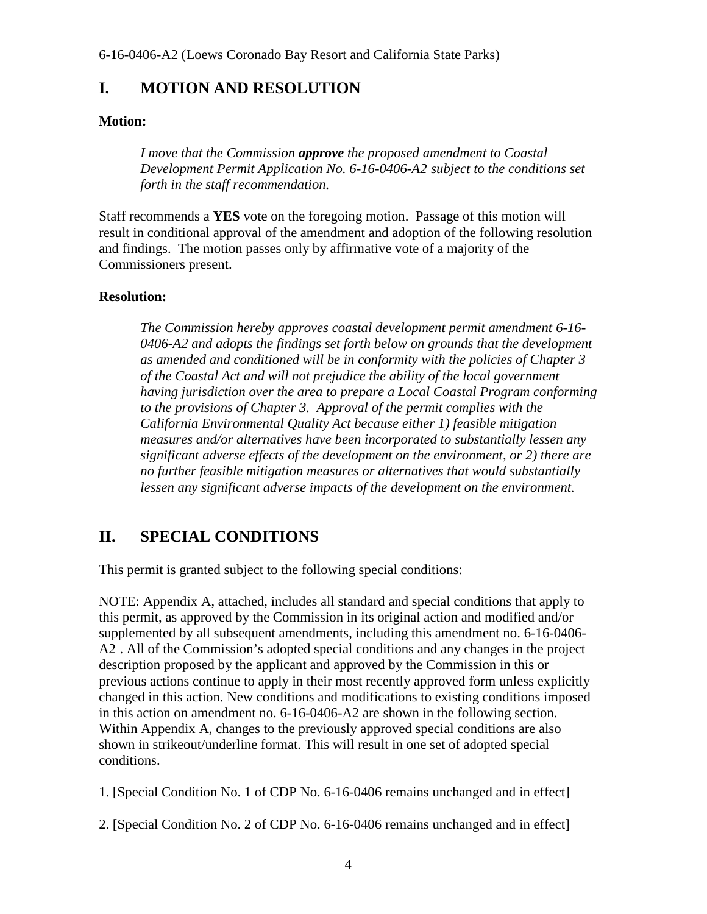# <span id="page-3-0"></span>**I. MOTION AND RESOLUTION**

#### **Motion:**

*I move that the Commission approve the proposed amendment to Coastal Development Permit Application No. 6-16-0406-A2 subject to the conditions set forth in the staff recommendation.* 

Staff recommends a **YES** vote on the foregoing motion. Passage of this motion will result in conditional approval of the amendment and adoption of the following resolution and findings. The motion passes only by affirmative vote of a majority of the Commissioners present.

#### **Resolution:**

*The Commission hereby approves coastal development permit amendment 6-16- 0406-A2 and adopts the findings set forth below on grounds that the development as amended and conditioned will be in conformity with the policies of Chapter 3 of the Coastal Act and will not prejudice the ability of the local government having jurisdiction over the area to prepare a Local Coastal Program conforming to the provisions of Chapter 3. Approval of the permit complies with the California Environmental Quality Act because either 1) feasible mitigation measures and/or alternatives have been incorporated to substantially lessen any significant adverse effects of the development on the environment, or 2) there are no further feasible mitigation measures or alternatives that would substantially lessen any significant adverse impacts of the development on the environment.* 

# <span id="page-3-1"></span>**II. SPECIAL CONDITIONS**

This permit is granted subject to the following special conditions:

NOTE: Appendix A, attached, includes all standard and special conditions that apply to this permit, as approved by the Commission in its original action and modified and/or supplemented by all subsequent amendments, including this amendment no. 6-16-0406- A2 . All of the Commission's adopted special conditions and any changes in the project description proposed by the applicant and approved by the Commission in this or previous actions continue to apply in their most recently approved form unless explicitly changed in this action. New conditions and modifications to existing conditions imposed in this action on amendment no. 6-16-0406-A2 are shown in the following section. Within Appendix A, changes to the previously approved special conditions are also shown in strikeout/underline format. This will result in one set of adopted special conditions.

1. [Special Condition No. 1 of CDP No. 6-16-0406 remains unchanged and in effect]

2. [Special Condition No. 2 of CDP No. 6-16-0406 remains unchanged and in effect]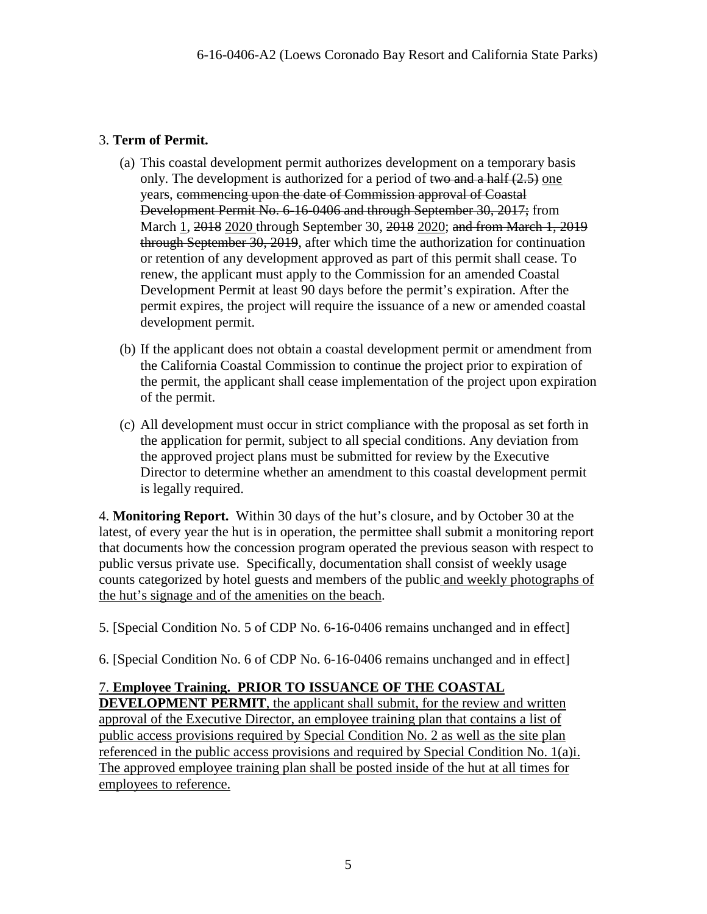#### 3. **Term of Permit.**

- (a) This coastal development permit authorizes development on a temporary basis only. The development is authorized for a period of two and a half (2.5) one years, commencing upon the date of Commission approval of Coastal Development Permit No. 6-16-0406 and through September 30, 2017; from March 1, 2018 2020 through September 30, 2018 2020; and from March 1, 2019 through September 30, 2019, after which time the authorization for continuation or retention of any development approved as part of this permit shall cease. To renew, the applicant must apply to the Commission for an amended Coastal Development Permit at least 90 days before the permit's expiration. After the permit expires, the project will require the issuance of a new or amended coastal development permit.
- (b) If the applicant does not obtain a coastal development permit or amendment from the California Coastal Commission to continue the project prior to expiration of the permit, the applicant shall cease implementation of the project upon expiration of the permit.
- (c) All development must occur in strict compliance with the proposal as set forth in the application for permit, subject to all special conditions. Any deviation from the approved project plans must be submitted for review by the Executive Director to determine whether an amendment to this coastal development permit is legally required.

4. **Monitoring Report.** Within 30 days of the hut's closure, and by October 30 at the latest, of every year the hut is in operation, the permittee shall submit a monitoring report that documents how the concession program operated the previous season with respect to public versus private use. Specifically, documentation shall consist of weekly usage counts categorized by hotel guests and members of the public and weekly photographs of the hut's signage and of the amenities on the beach.

5. [Special Condition No. 5 of CDP No. 6-16-0406 remains unchanged and in effect]

6. [Special Condition No. 6 of CDP No. 6-16-0406 remains unchanged and in effect]

### 7. **Employee Training. PRIOR TO ISSUANCE OF THE COASTAL**

**DEVELOPMENT PERMIT**, the applicant shall submit, for the review and written approval of the Executive Director, an employee training plan that contains a list of public access provisions required by Special Condition No. 2 as well as the site plan referenced in the public access provisions and required by Special Condition No. 1(a)i. The approved employee training plan shall be posted inside of the hut at all times for employees to reference.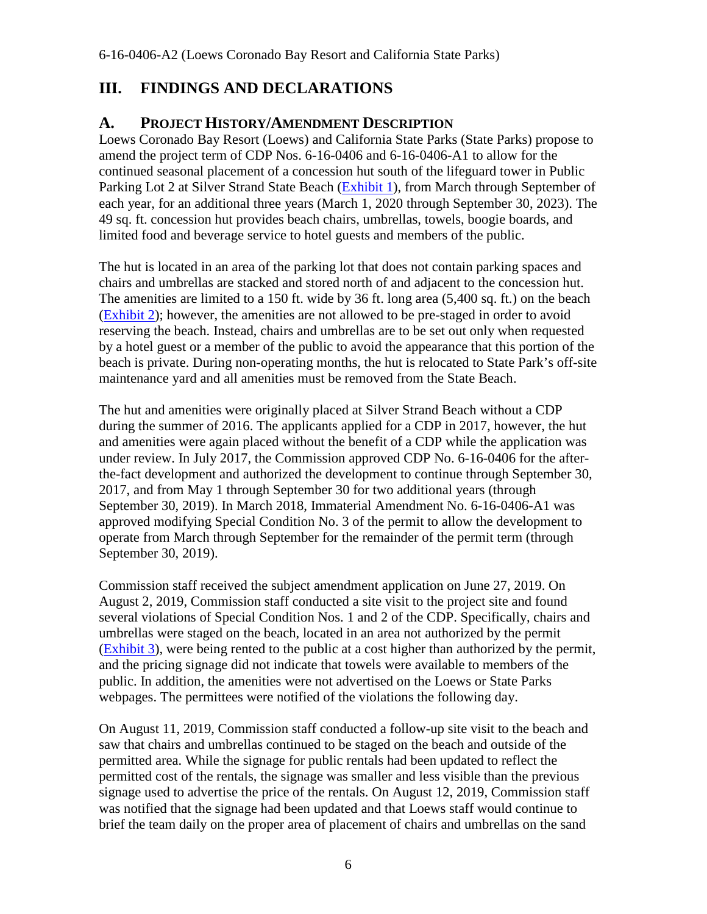# <span id="page-5-0"></span>**III. FINDINGS AND DECLARATIONS**

# <span id="page-5-1"></span>**A. PROJECT HISTORY/AMENDMENT DESCRIPTION**

Loews Coronado Bay Resort (Loews) and California State Parks (State Parks) propose to amend the project term of CDP Nos. 6-16-0406 and 6-16-0406-A1 to allow for the continued seasonal placement of a concession hut south of the lifeguard tower in Public Parking Lot 2 at Silver Strand State Beach [\(Exhibit 1\)](https://documents.coastal.ca.gov/reports/2020/2/f20a/f20a-2-2020-exhibits.pdf), from March through September of each year, for an additional three years (March 1, 2020 through September 30, 2023). The 49 sq. ft. concession hut provides beach chairs, umbrellas, towels, boogie boards, and limited food and beverage service to hotel guests and members of the public.

The hut is located in an area of the parking lot that does not contain parking spaces and chairs and umbrellas are stacked and stored north of and adjacent to the concession hut. The amenities are limited to a 150 ft. wide by 36 ft. long area (5,400 sq. ft.) on the beach [\(Exhibit 2\)](https://documents.coastal.ca.gov/reports/2020/2/f20a/f20a-2-2020-exhibits.pdf); however, the amenities are not allowed to be pre-staged in order to avoid reserving the beach. Instead, chairs and umbrellas are to be set out only when requested by a hotel guest or a member of the public to avoid the appearance that this portion of the beach is private. During non-operating months, the hut is relocated to State Park's off-site maintenance yard and all amenities must be removed from the State Beach.

The hut and amenities were originally placed at Silver Strand Beach without a CDP during the summer of 2016. The applicants applied for a CDP in 2017, however, the hut and amenities were again placed without the benefit of a CDP while the application was under review. In July 2017, the Commission approved CDP No. 6-16-0406 for the afterthe-fact development and authorized the development to continue through September 30, 2017, and from May 1 through September 30 for two additional years (through September 30, 2019). In March 2018, Immaterial Amendment No. 6-16-0406-A1 was approved modifying Special Condition No. 3 of the permit to allow the development to operate from March through September for the remainder of the permit term (through September 30, 2019).

Commission staff received the subject amendment application on June 27, 2019. On August 2, 2019, Commission staff conducted a site visit to the project site and found several violations of Special Condition Nos. 1 and 2 of the CDP. Specifically, chairs and umbrellas were staged on the beach, located in an area not authorized by the permit [\(Exhibit 3\)](https://documents.coastal.ca.gov/reports/2020/2/f20a/f20a-2-2020-exhibits.pdf), were being rented to the public at a cost higher than authorized by the permit, and the pricing signage did not indicate that towels were available to members of the public. In addition, the amenities were not advertised on the Loews or State Parks webpages. The permittees were notified of the violations the following day.

On August 11, 2019, Commission staff conducted a follow-up site visit to the beach and saw that chairs and umbrellas continued to be staged on the beach and outside of the permitted area. While the signage for public rentals had been updated to reflect the permitted cost of the rentals, the signage was smaller and less visible than the previous signage used to advertise the price of the rentals. On August 12, 2019, Commission staff was notified that the signage had been updated and that Loews staff would continue to brief the team daily on the proper area of placement of chairs and umbrellas on the sand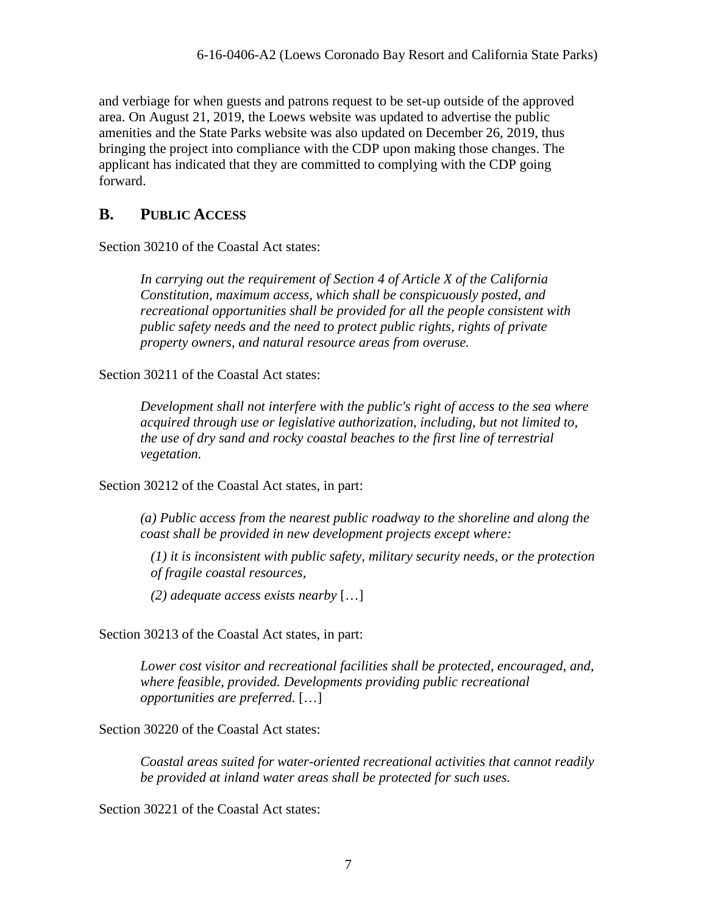and verbiage for when guests and patrons request to be set-up outside of the approved area. On August 21, 2019, the Loews website was updated to advertise the public amenities and the State Parks website was also updated on December 26, 2019, thus bringing the project into compliance with the CDP upon making those changes. The applicant has indicated that they are committed to complying with the CDP going forward.

# <span id="page-6-0"></span>**B. PUBLIC ACCESS**

Section 30210 of the Coastal Act states:

*In carrying out the requirement of Section 4 of Article X of the California Constitution, maximum access, which shall be conspicuously posted, and recreational opportunities shall be provided for all the people consistent with public safety needs and the need to protect public rights, rights of private property owners, and natural resource areas from overuse.* 

Section 30211 of the Coastal Act states:

*Development shall not interfere with the public's right of access to the sea where acquired through use or legislative authorization, including, but not limited to, the use of dry sand and rocky coastal beaches to the first line of terrestrial vegetation.* 

Section 30212 of the Coastal Act states, in part:

*(a) Public access from the nearest public roadway to the shoreline and along the coast shall be provided in new development projects except where:* 

*(1) it is inconsistent with public safety, military security needs, or the protection of fragile coastal resources,* 

*(2) adequate access exists nearby* […]

Section 30213 of the Coastal Act states, in part:

*Lower cost visitor and recreational facilities shall be protected, encouraged, and, where feasible, provided. Developments providing public recreational opportunities are preferred.* […]

Section 30220 of the Coastal Act states:

*Coastal areas suited for water-oriented recreational activities that cannot readily be provided at inland water areas shall be protected for such uses.* 

Section 30221 of the Coastal Act states: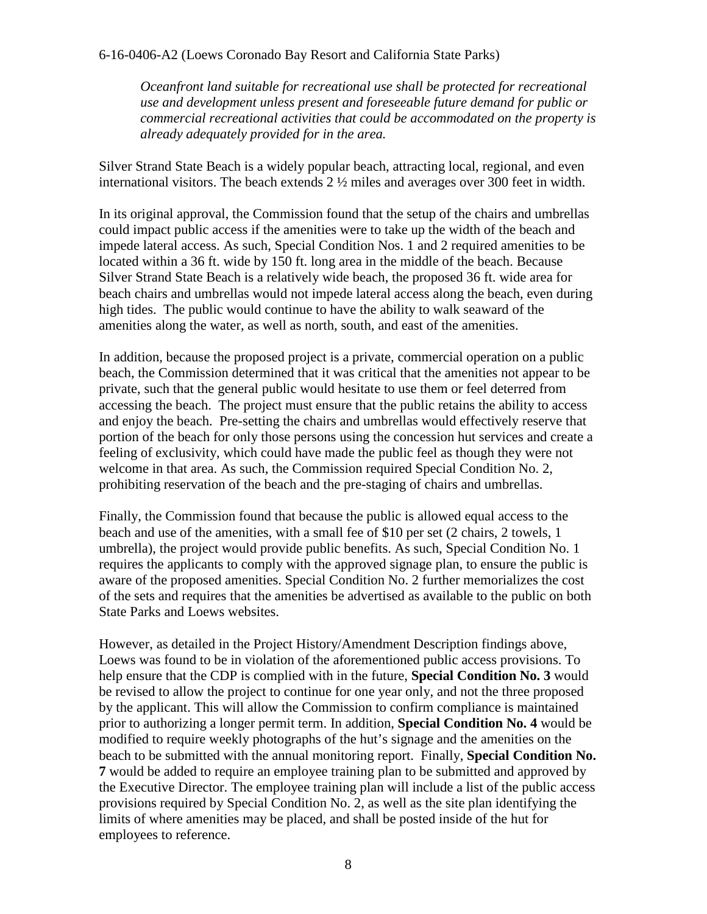*Oceanfront land suitable for recreational use shall be protected for recreational use and development unless present and foreseeable future demand for public or commercial recreational activities that could be accommodated on the property is already adequately provided for in the area.* 

Silver Strand State Beach is a widely popular beach, attracting local, regional, and even international visitors. The beach extends 2 ½ miles and averages over 300 feet in width.

In its original approval, the Commission found that the setup of the chairs and umbrellas could impact public access if the amenities were to take up the width of the beach and impede lateral access. As such, Special Condition Nos. 1 and 2 required amenities to be located within a 36 ft. wide by 150 ft. long area in the middle of the beach. Because Silver Strand State Beach is a relatively wide beach, the proposed 36 ft. wide area for beach chairs and umbrellas would not impede lateral access along the beach, even during high tides. The public would continue to have the ability to walk seaward of the amenities along the water, as well as north, south, and east of the amenities.

In addition, because the proposed project is a private, commercial operation on a public beach, the Commission determined that it was critical that the amenities not appear to be private, such that the general public would hesitate to use them or feel deterred from accessing the beach. The project must ensure that the public retains the ability to access and enjoy the beach. Pre-setting the chairs and umbrellas would effectively reserve that portion of the beach for only those persons using the concession hut services and create a feeling of exclusivity, which could have made the public feel as though they were not welcome in that area. As such, the Commission required Special Condition No. 2, prohibiting reservation of the beach and the pre-staging of chairs and umbrellas.

Finally, the Commission found that because the public is allowed equal access to the beach and use of the amenities, with a small fee of \$10 per set (2 chairs, 2 towels, 1 umbrella), the project would provide public benefits. As such, Special Condition No. 1 requires the applicants to comply with the approved signage plan, to ensure the public is aware of the proposed amenities. Special Condition No. 2 further memorializes the cost of the sets and requires that the amenities be advertised as available to the public on both State Parks and Loews websites.

However, as detailed in the Project History/Amendment Description findings above, Loews was found to be in violation of the aforementioned public access provisions. To help ensure that the CDP is complied with in the future, **Special Condition No. 3** would be revised to allow the project to continue for one year only, and not the three proposed by the applicant. This will allow the Commission to confirm compliance is maintained prior to authorizing a longer permit term. In addition, **Special Condition No. 4** would be modified to require weekly photographs of the hut's signage and the amenities on the beach to be submitted with the annual monitoring report. Finally, **Special Condition No. 7** would be added to require an employee training plan to be submitted and approved by the Executive Director. The employee training plan will include a list of the public access provisions required by Special Condition No. 2, as well as the site plan identifying the limits of where amenities may be placed, and shall be posted inside of the hut for employees to reference.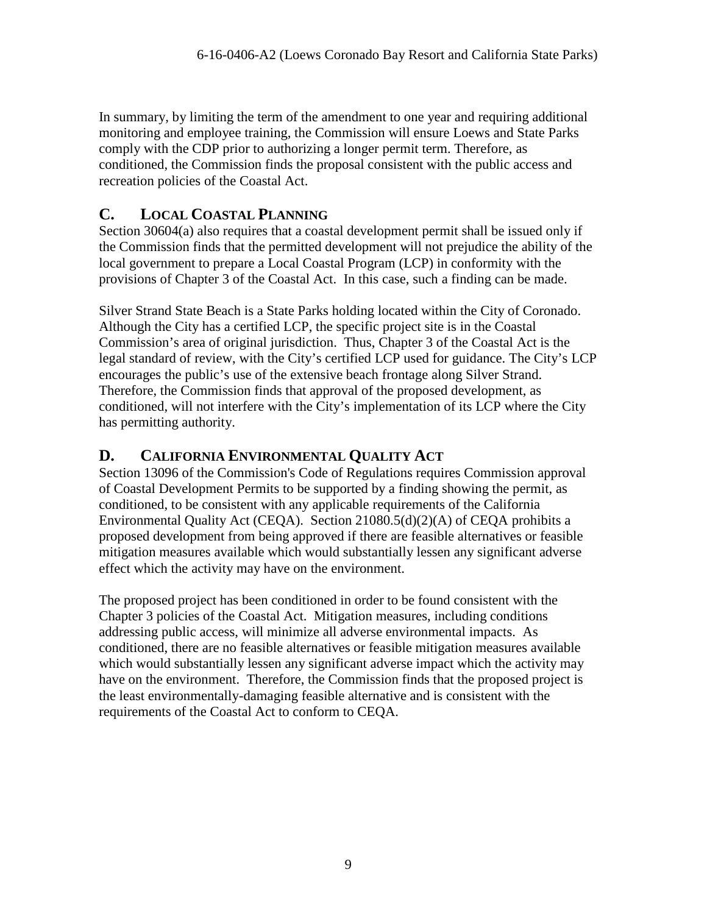In summary, by limiting the term of the amendment to one year and requiring additional monitoring and employee training, the Commission will ensure Loews and State Parks comply with the CDP prior to authorizing a longer permit term. Therefore, as conditioned, the Commission finds the proposal consistent with the public access and recreation policies of the Coastal Act.

# <span id="page-8-0"></span>**C. LOCAL COASTAL PLANNING**

Section 30604(a) also requires that a coastal development permit shall be issued only if the Commission finds that the permitted development will not prejudice the ability of the local government to prepare a Local Coastal Program (LCP) in conformity with the provisions of Chapter 3 of the Coastal Act. In this case, such a finding can be made.

Silver Strand State Beach is a State Parks holding located within the City of Coronado. Although the City has a certified LCP, the specific project site is in the Coastal Commission's area of original jurisdiction. Thus, Chapter 3 of the Coastal Act is the legal standard of review, with the City's certified LCP used for guidance. The City's LCP encourages the public's use of the extensive beach frontage along Silver Strand. Therefore, the Commission finds that approval of the proposed development, as conditioned, will not interfere with the City's implementation of its LCP where the City has permitting authority.

# <span id="page-8-1"></span>**D. CALIFORNIA ENVIRONMENTAL QUALITY ACT**

Section 13096 of the Commission's Code of Regulations requires Commission approval of Coastal Development Permits to be supported by a finding showing the permit, as conditioned, to be consistent with any applicable requirements of the California Environmental Quality Act (CEQA). Section 21080.5(d)(2)(A) of CEQA prohibits a proposed development from being approved if there are feasible alternatives or feasible mitigation measures available which would substantially lessen any significant adverse effect which the activity may have on the environment.

The proposed project has been conditioned in order to be found consistent with the Chapter 3 policies of the Coastal Act. Mitigation measures, including conditions addressing public access, will minimize all adverse environmental impacts. As conditioned, there are no feasible alternatives or feasible mitigation measures available which would substantially lessen any significant adverse impact which the activity may have on the environment. Therefore, the Commission finds that the proposed project is the least environmentally-damaging feasible alternative and is consistent with the requirements of the Coastal Act to conform to CEQA.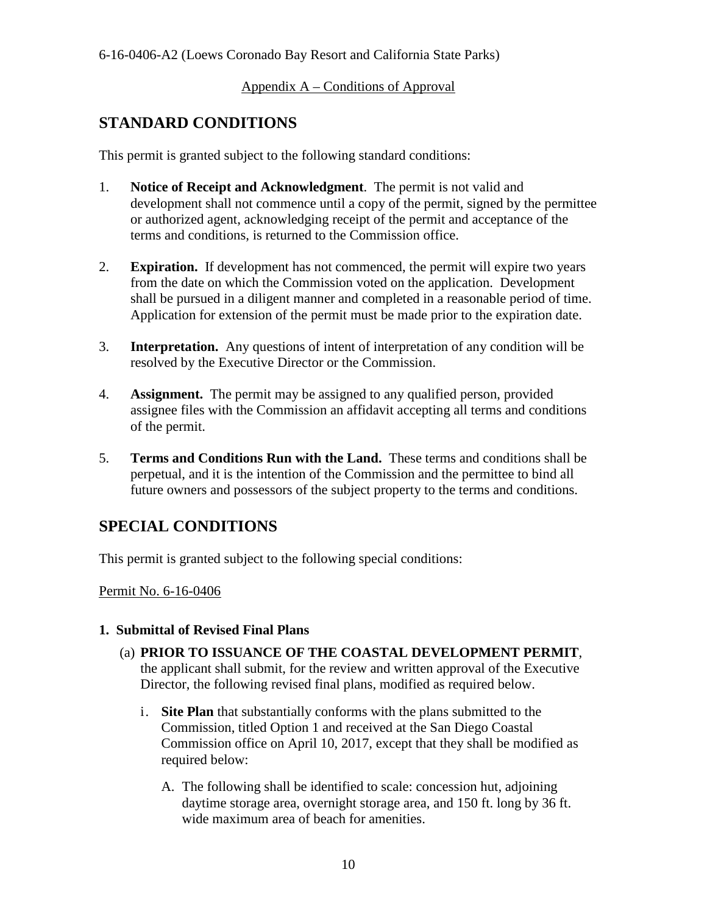#### <span id="page-9-0"></span>Appendix A – Conditions of Approval

# **STANDARD CONDITIONS**

This permit is granted subject to the following standard conditions:

- 1. **Notice of Receipt and Acknowledgment**. The permit is not valid and development shall not commence until a copy of the permit, signed by the permittee or authorized agent, acknowledging receipt of the permit and acceptance of the terms and conditions, is returned to the Commission office.
- 2. **Expiration.** If development has not commenced, the permit will expire two years from the date on which the Commission voted on the application. Development shall be pursued in a diligent manner and completed in a reasonable period of time. Application for extension of the permit must be made prior to the expiration date.
- 3. **Interpretation.** Any questions of intent of interpretation of any condition will be resolved by the Executive Director or the Commission.
- 4. **Assignment.** The permit may be assigned to any qualified person, provided assignee files with the Commission an affidavit accepting all terms and conditions of the permit.
- 5. **Terms and Conditions Run with the Land.** These terms and conditions shall be perpetual, and it is the intention of the Commission and the permittee to bind all future owners and possessors of the subject property to the terms and conditions.

# **SPECIAL CONDITIONS**

This permit is granted subject to the following special conditions:

Permit No. 6-16-0406

#### **1. Submittal of Revised Final Plans**

- (a) **PRIOR TO ISSUANCE OF THE COASTAL DEVELOPMENT PERMIT**, the applicant shall submit, for the review and written approval of the Executive Director, the following revised final plans, modified as required below.
	- i. **Site Plan** that substantially conforms with the plans submitted to the Commission, titled Option 1 and received at the San Diego Coastal Commission office on April 10, 2017, except that they shall be modified as required below:
		- A. The following shall be identified to scale: concession hut, adjoining daytime storage area, overnight storage area, and 150 ft. long by 36 ft. wide maximum area of beach for amenities.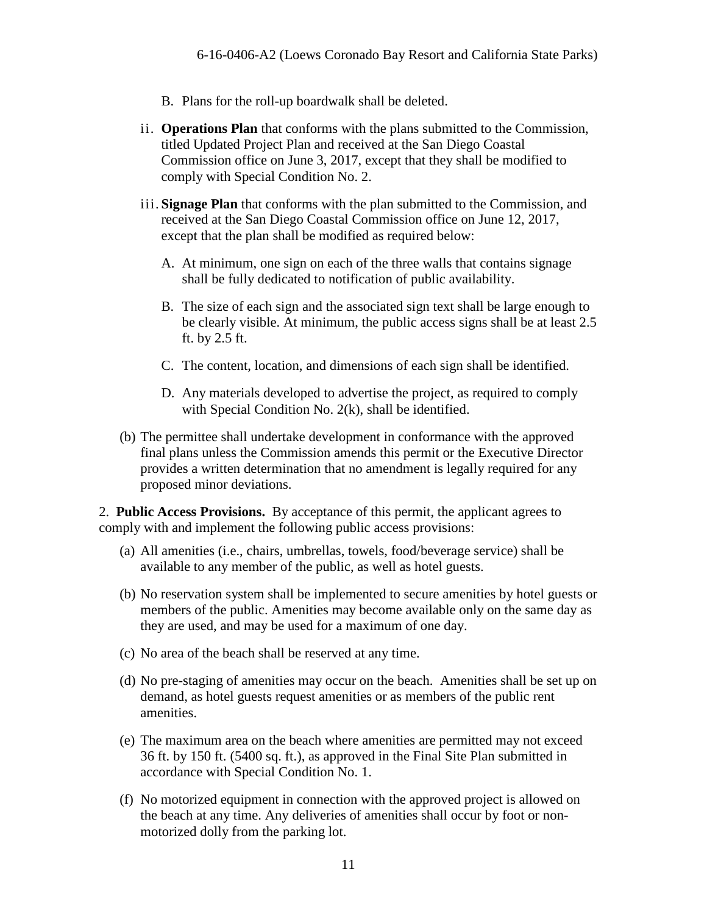- B. Plans for the roll-up boardwalk shall be deleted.
- ii. **Operations Plan** that conforms with the plans submitted to the Commission, titled Updated Project Plan and received at the San Diego Coastal Commission office on June 3, 2017, except that they shall be modified to comply with Special Condition No. 2.
- iii. **Signage Plan** that conforms with the plan submitted to the Commission, and received at the San Diego Coastal Commission office on June 12, 2017, except that the plan shall be modified as required below:
	- A. At minimum, one sign on each of the three walls that contains signage shall be fully dedicated to notification of public availability.
	- B. The size of each sign and the associated sign text shall be large enough to be clearly visible. At minimum, the public access signs shall be at least 2.5 ft. by 2.5 ft.
	- C. The content, location, and dimensions of each sign shall be identified.
	- D. Any materials developed to advertise the project, as required to comply with Special Condition No. 2(k), shall be identified.
- (b) The permittee shall undertake development in conformance with the approved final plans unless the Commission amends this permit or the Executive Director provides a written determination that no amendment is legally required for any proposed minor deviations.

2. **Public Access Provisions.** By acceptance of this permit, the applicant agrees to comply with and implement the following public access provisions:

- (a) All amenities (i.e., chairs, umbrellas, towels, food/beverage service) shall be available to any member of the public, as well as hotel guests.
- (b) No reservation system shall be implemented to secure amenities by hotel guests or members of the public. Amenities may become available only on the same day as they are used, and may be used for a maximum of one day.
- (c) No area of the beach shall be reserved at any time.
- (d) No pre-staging of amenities may occur on the beach. Amenities shall be set up on demand, as hotel guests request amenities or as members of the public rent amenities.
- (e) The maximum area on the beach where amenities are permitted may not exceed 36 ft. by 150 ft. (5400 sq. ft.), as approved in the Final Site Plan submitted in accordance with Special Condition No. 1.
- (f) No motorized equipment in connection with the approved project is allowed on the beach at any time. Any deliveries of amenities shall occur by foot or nonmotorized dolly from the parking lot.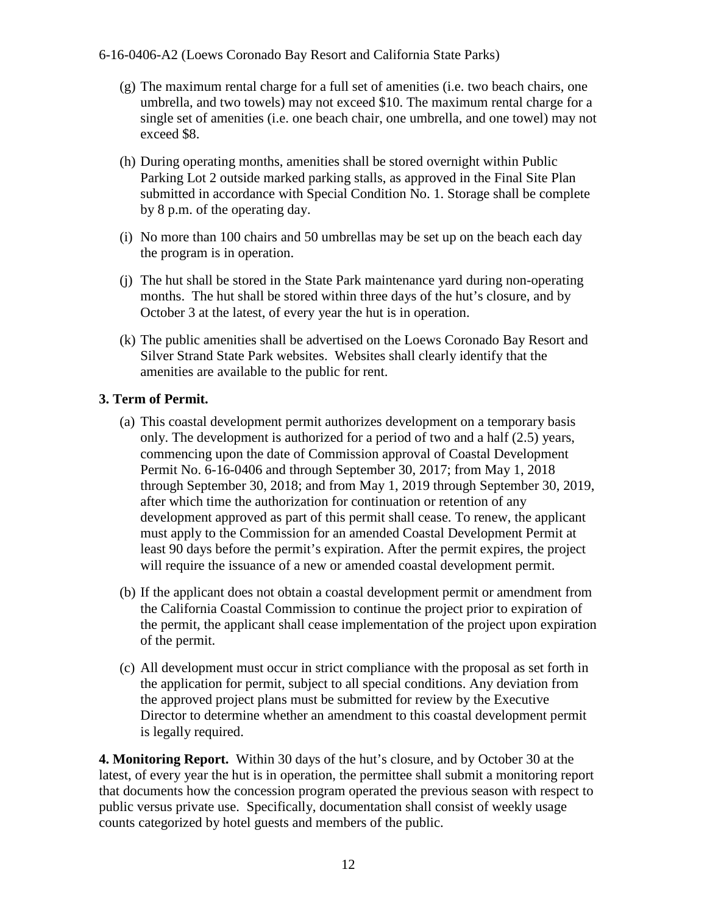- (g) The maximum rental charge for a full set of amenities (i.e. two beach chairs, one umbrella, and two towels) may not exceed \$10. The maximum rental charge for a single set of amenities (i.e. one beach chair, one umbrella, and one towel) may not exceed \$8.
- (h) During operating months, amenities shall be stored overnight within Public Parking Lot 2 outside marked parking stalls, as approved in the Final Site Plan submitted in accordance with Special Condition No. 1. Storage shall be complete by 8 p.m. of the operating day.
- (i) No more than 100 chairs and 50 umbrellas may be set up on the beach each day the program is in operation.
- (j) The hut shall be stored in the State Park maintenance yard during non-operating months. The hut shall be stored within three days of the hut's closure, and by October 3 at the latest, of every year the hut is in operation.
- (k) The public amenities shall be advertised on the Loews Coronado Bay Resort and Silver Strand State Park websites. Websites shall clearly identify that the amenities are available to the public for rent.

#### **3. Term of Permit.**

- (a) This coastal development permit authorizes development on a temporary basis only. The development is authorized for a period of two and a half (2.5) years, commencing upon the date of Commission approval of Coastal Development Permit No. 6-16-0406 and through September 30, 2017; from May 1, 2018 through September 30, 2018; and from May 1, 2019 through September 30, 2019, after which time the authorization for continuation or retention of any development approved as part of this permit shall cease. To renew, the applicant must apply to the Commission for an amended Coastal Development Permit at least 90 days before the permit's expiration. After the permit expires, the project will require the issuance of a new or amended coastal development permit.
- (b) If the applicant does not obtain a coastal development permit or amendment from the California Coastal Commission to continue the project prior to expiration of the permit, the applicant shall cease implementation of the project upon expiration of the permit.
- (c) All development must occur in strict compliance with the proposal as set forth in the application for permit, subject to all special conditions. Any deviation from the approved project plans must be submitted for review by the Executive Director to determine whether an amendment to this coastal development permit is legally required.

**4. Monitoring Report.** Within 30 days of the hut's closure, and by October 30 at the latest, of every year the hut is in operation, the permittee shall submit a monitoring report that documents how the concession program operated the previous season with respect to public versus private use. Specifically, documentation shall consist of weekly usage counts categorized by hotel guests and members of the public.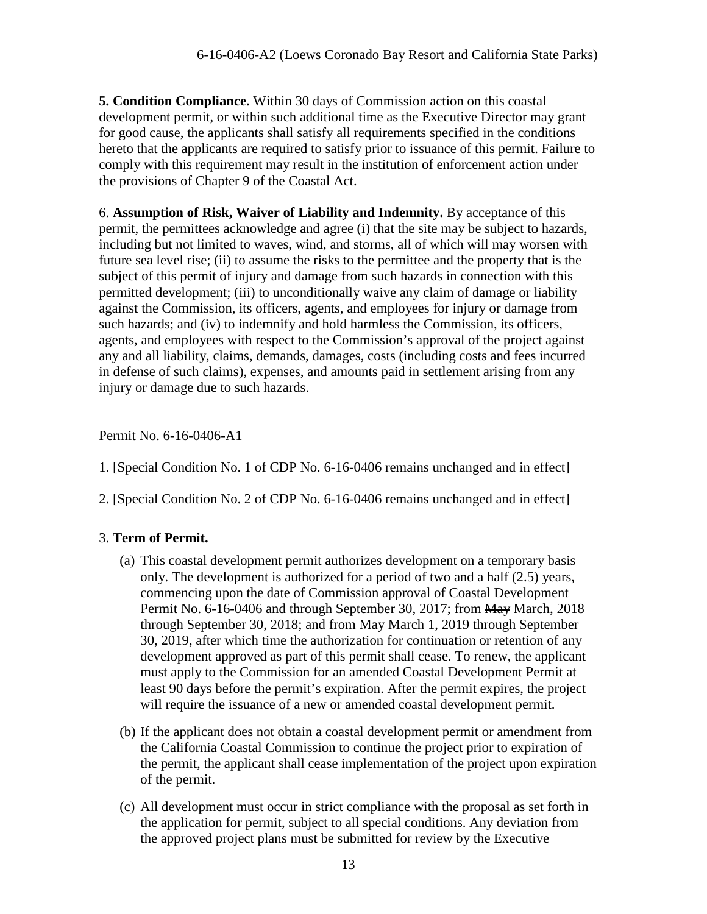**5. Condition Compliance.** Within 30 days of Commission action on this coastal development permit, or within such additional time as the Executive Director may grant for good cause, the applicants shall satisfy all requirements specified in the conditions hereto that the applicants are required to satisfy prior to issuance of this permit. Failure to comply with this requirement may result in the institution of enforcement action under the provisions of Chapter 9 of the Coastal Act.

6. **Assumption of Risk, Waiver of Liability and Indemnity.** By acceptance of this permit, the permittees acknowledge and agree (i) that the site may be subject to hazards, including but not limited to waves, wind, and storms, all of which will may worsen with future sea level rise; (ii) to assume the risks to the permittee and the property that is the subject of this permit of injury and damage from such hazards in connection with this permitted development; (iii) to unconditionally waive any claim of damage or liability against the Commission, its officers, agents, and employees for injury or damage from such hazards; and (iv) to indemnify and hold harmless the Commission, its officers, agents, and employees with respect to the Commission's approval of the project against any and all liability, claims, demands, damages, costs (including costs and fees incurred in defense of such claims), expenses, and amounts paid in settlement arising from any injury or damage due to such hazards.

### Permit No. 6-16-0406-A1

- 1. [Special Condition No. 1 of CDP No. 6-16-0406 remains unchanged and in effect]
- 2. [Special Condition No. 2 of CDP No. 6-16-0406 remains unchanged and in effect]

### 3. **Term of Permit.**

- (a) This coastal development permit authorizes development on a temporary basis only. The development is authorized for a period of two and a half (2.5) years, commencing upon the date of Commission approval of Coastal Development Permit No. 6-16-0406 and through September 30, 2017; from May March, 2018 through September 30, 2018; and from May March 1, 2019 through September 30, 2019, after which time the authorization for continuation or retention of any development approved as part of this permit shall cease. To renew, the applicant must apply to the Commission for an amended Coastal Development Permit at least 90 days before the permit's expiration. After the permit expires, the project will require the issuance of a new or amended coastal development permit.
- (b) If the applicant does not obtain a coastal development permit or amendment from the California Coastal Commission to continue the project prior to expiration of the permit, the applicant shall cease implementation of the project upon expiration of the permit.
- (c) All development must occur in strict compliance with the proposal as set forth in the application for permit, subject to all special conditions. Any deviation from the approved project plans must be submitted for review by the Executive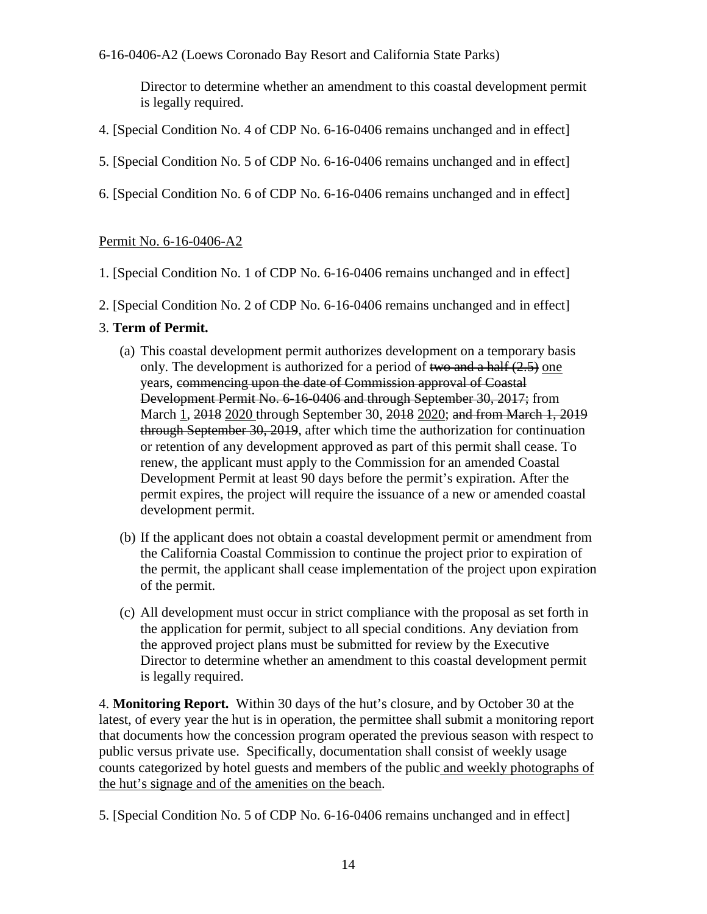Director to determine whether an amendment to this coastal development permit is legally required.

- 4. [Special Condition No. 4 of CDP No. 6-16-0406 remains unchanged and in effect]
- 5. [Special Condition No. 5 of CDP No. 6-16-0406 remains unchanged and in effect]
- 6. [Special Condition No. 6 of CDP No. 6-16-0406 remains unchanged and in effect]

#### Permit No. 6-16-0406-A2

- 1. [Special Condition No. 1 of CDP No. 6-16-0406 remains unchanged and in effect]
- 2. [Special Condition No. 2 of CDP No. 6-16-0406 remains unchanged and in effect]

#### 3. **Term of Permit.**

- (a) This coastal development permit authorizes development on a temporary basis only. The development is authorized for a period of two and a half  $(2.5)$  one years, commencing upon the date of Commission approval of Coastal Development Permit No. 6-16-0406 and through September 30, 2017; from March 1, 2018 2020 through September 30, 2018 2020; and from March 1, 2019 through September 30, 2019, after which time the authorization for continuation or retention of any development approved as part of this permit shall cease. To renew, the applicant must apply to the Commission for an amended Coastal Development Permit at least 90 days before the permit's expiration. After the permit expires, the project will require the issuance of a new or amended coastal development permit.
- (b) If the applicant does not obtain a coastal development permit or amendment from the California Coastal Commission to continue the project prior to expiration of the permit, the applicant shall cease implementation of the project upon expiration of the permit.
- (c) All development must occur in strict compliance with the proposal as set forth in the application for permit, subject to all special conditions. Any deviation from the approved project plans must be submitted for review by the Executive Director to determine whether an amendment to this coastal development permit is legally required.

4. **Monitoring Report.** Within 30 days of the hut's closure, and by October 30 at the latest, of every year the hut is in operation, the permittee shall submit a monitoring report that documents how the concession program operated the previous season with respect to public versus private use. Specifically, documentation shall consist of weekly usage counts categorized by hotel guests and members of the public and weekly photographs of the hut's signage and of the amenities on the beach.

5. [Special Condition No. 5 of CDP No. 6-16-0406 remains unchanged and in effect]